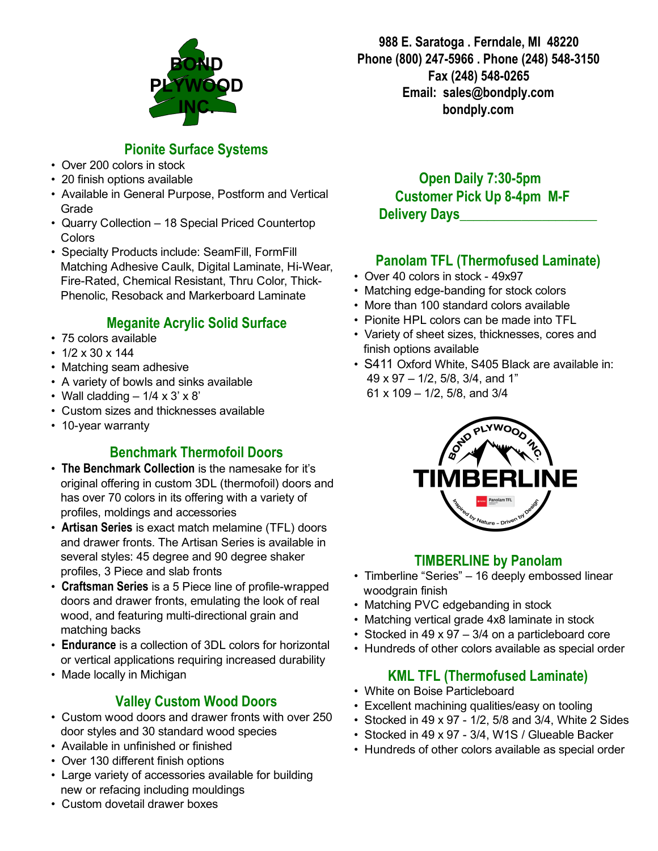

## Pionite Surface Systems

- Over 200 colors in stock
- 20 finish options available
- Available in General Purpose, Postform and Vertical Grade
- Quarry Collection 18 Special Priced Countertop **Colors**
- Specialty Products include: SeamFill, FormFill Matching Adhesive Caulk, Digital Laminate, Hi-Wear, Fire-Rated, Chemical Resistant, Thru Color, Thick-Phenolic, Resoback and Markerboard Laminate

### Meganite Acrylic Solid Surface

- 75 colors available
- $1/2 \times 30 \times 144$
- Matching seam adhesive
- A variety of bowls and sinks available
- Wall cladding  $-1/4 \times 3' \times 8'$
- Custom sizes and thicknesses available
- 10-year warranty

### Benchmark Thermofoil Doors

- The Benchmark Collection is the namesake for it's original offering in custom 3DL (thermofoil) doors and has over 70 colors in its offering with a variety of profiles, moldings and accessories
- Artisan Series is exact match melamine (TFL) doors and drawer fronts. The Artisan Series is available in several styles: 45 degree and 90 degree shaker profiles, 3 Piece and slab fronts
- Craftsman Series is a 5 Piece line of profile-wrapped doors and drawer fronts, emulating the look of real wood, and featuring multi-directional grain and matching backs
- Endurance is a collection of 3DL colors for horizontal or vertical applications requiring increased durability
- Made locally in Michigan

### Valley Custom Wood Doors

- Custom wood doors and drawer fronts with over 250 door styles and 30 standard wood species
- Available in unfinished or finished
- Over 130 different finish options
- Large variety of accessories available for building new or refacing including mouldings

988 E. Saratoga . Ferndale, MI 48220 Phone (800) 247-5966 . Phone (248) 548-3150 Fax (248) 548-0265 Email: sales@bondply.com bondply.com

Open Daily 7:30-5pm **Customer Pick Up 8-4pm M-F** Delivery Days

### Panolam TFL (Thermofused Laminate)

- Over 40 colors in stock 49x97
- Matching edge-banding for stock colors
- More than 100 standard colors available
- Pionite HPL colors can be made into TFL
- Variety of sheet sizes, thicknesses, cores and finish options available
- S411 Oxford White, S405 Black are available in: 49 x 97 – 1/2, 5/8, 3/4, and 1" 61 x 109 – 1/2, 5/8, and 3/4



### TIMBERLINE by Panolam

- Timberline "Series" 16 deeply embossed linear woodgrain finish
- Matching PVC edgebanding in stock
- Matching vertical grade 4x8 laminate in stock
- Stocked in 49 x 97 3/4 on a particleboard core
- Hundreds of other colors available as special order

### KML TFL (Thermofused Laminate)

- White on Boise Particleboard
- Excellent machining qualities/easy on tooling
- Stocked in 49 x 97 1/2, 5/8 and 3/4, White 2 Sides
- Stocked in 49 x 97 3/4, W1S / Glueable Backer
- Hundreds of other colors available as special order

• Custom dovetail drawer boxes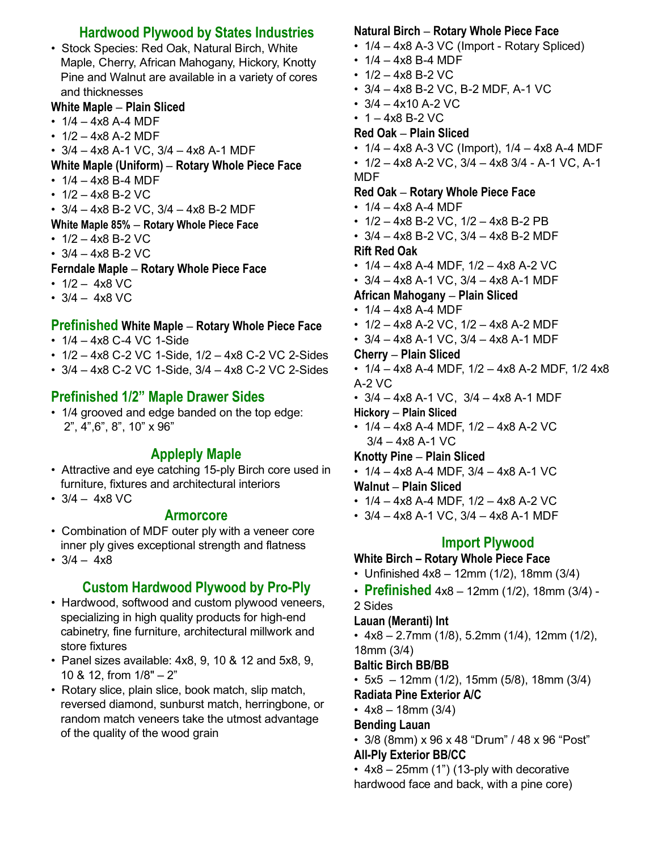### Hardwood Plywood by States Industries

• Stock Species: Red Oak, Natural Birch, White Maple, Cherry, African Mahogany, Hickory, Knotty Pine and Walnut are available in a variety of cores and thicknesses

### White Maple – Plain Sliced

- $1/4 4x8$  A-4 MDF
- $1/2 4x8$  A-2 MDF
- $3/4 4x8$  A-1 VC,  $3/4 4x8$  A-1 MDF
- White Maple (Uniform) Rotary Whole Piece Face
- $1/4 4x8 B 4 MDF$
- $1/2 4x8$  B-2 VC
- $3/4 4x8$  B-2 VC,  $3/4 4x8$  B-2 MDF
- White Maple 85% Rotary Whole Piece Face
- $1/2 4x8$  B-2 VC
- $3/4 4x8$  B-2 VC
- Ferndale Maple Rotary Whole Piece Face
- $1/2 4x8$  VC
- $3/4 4x8$  VC

### Prefinished White Maple – Rotary Whole Piece Face

- $1/4 4x8 C 4 VC 1-Side$
- $\cdot$  1/2 4x8 C-2 VC 1-Side, 1/2 4x8 C-2 VC 2-Sides
- $\cdot$  3/4 4x8 C-2 VC 1-Side, 3/4 4x8 C-2 VC 2-Sides

# Prefinished 1/2" Maple Drawer Sides

• 1/4 grooved and edge banded on the top edge: 2", 4",6", 8", 10" x 96"

# Appleply Maple

- Attractive and eye catching 15-ply Birch core used in furniture, fixtures and architectural interiors
- $3/4 4x8$  VC

### Armorcore

- Combination of MDF outer ply with a veneer core inner ply gives exceptional strength and flatness
- $3/4 4x8$

# **Custom Hardwood Plywood by Pro-Ply**

- Hardwood, softwood and custom plywood veneers, specializing in high quality products for high-end cabinetry, fine furniture, architectural millwork and store fixtures
- Panel sizes available: 4x8, 9, 10 & 12 and 5x8, 9, 10 & 12, from 1/8" – 2"
- Rotary slice, plain slice, book match, slip match, reversed diamond, sunburst match, herringbone, or random match veneers take the utmost advantage of the quality of the wood grain

### Natural Birch – Rotary Whole Piece Face

- $\cdot$  1/4 4x8 A-3 VC (Import Rotary Spliced)
- $1/4 4x8 B 4 MDF$
- $1/2 4x8$  B-2 VC
- $3/4 4x8 B-2 VC, B-2 MDF, A-1 VC$
- $3/4 4x10$  A-2 VC
- $1 4x8$  B-2 VC

### Red Oak – Plain Sliced

- $\cdot$  1/4 4x8 A-3 VC (Import), 1/4 4x8 A-4 MDF
- $1/2 4x8$  A-2 VC,  $3/4 4x8$  3/4 A-1 VC, A-1 MDF

### Red Oak – Rotary Whole Piece Face

- $1/4 4x8$  A-4 MDF
- $\cdot$  1/2 4x8 B-2 VC, 1/2 4x8 B-2 PB
- $\cdot$  3/4 4x8 B-2 VC, 3/4 4x8 B-2 MDF

### Rift Red Oak

- $1/4 4x8$  A-4 MDF,  $1/2 4x8$  A-2 VC
- $3/4 4x8$  A-1 VC,  $3/4 4x8$  A-1 MDF

### African Mahogany – Plain Sliced

- $\cdot$  1/4 4x8 A-4 MDF
- $1/2 4x8$  A-2 VC,  $1/2 4x8$  A-2 MDF
- $•$  3/4 4x8 A-1 VC, 3/4 4x8 A-1 MDF

### Cherry – Plain Sliced

- $\cdot$  1/4 4x8 A-4 MDF, 1/2 4x8 A-2 MDF, 1/2 4x8  $A-2$  VC
- $3/4 4x8$  A-1 VC,  $3/4 4x8$  A-1 MDF

Hickory – Plain Sliced

•  $1/4 - 4x8$  A-4 MDF,  $1/2 - 4x8$  A-2 VC  $3/4 - 4x8$  A-1 VC

#### Knotty Pine – Plain Sliced

•  $1/4 - 4x8$  A-4 MDF,  $3/4 - 4x8$  A-1 VC

### Walnut – Plain Sliced

- $\cdot$  1/4 4x8 A-4 MDF, 1/2 4x8 A-2 VC
- $3/4 4x8$  A-1 VC,  $3/4 4x8$  A-1 MDF

### Import Plywood

#### White Birch – Rotary Whole Piece Face

- Unfinished  $4x8 12mm (1/2)$ , 18mm  $(3/4)$
- Prefinished  $4x8 12mm (1/2)$ , 18mm  $(3/4)$  -

2 Sides

### Lauan (Meranti) Int

• 4x8 – 2.7mm (1/8), 5.2mm (1/4), 12mm (1/2), 18mm (3/4)

#### Baltic Birch BB/BB

- $\cdot$  5x5 12mm (1/2), 15mm (5/8), 18mm (3/4) Radiata Pine Exterior A/C
- $4x8 18$ mm  $(3/4)$

### Bending Lauan

- 3/8 (8mm) x 96 x 48 "Drum" / 48 x 96 "Post" **All-Ply Exterior BB/CC**
- $4x8 25$ mm (1") (13-ply with decorative hardwood face and back, with a pine core)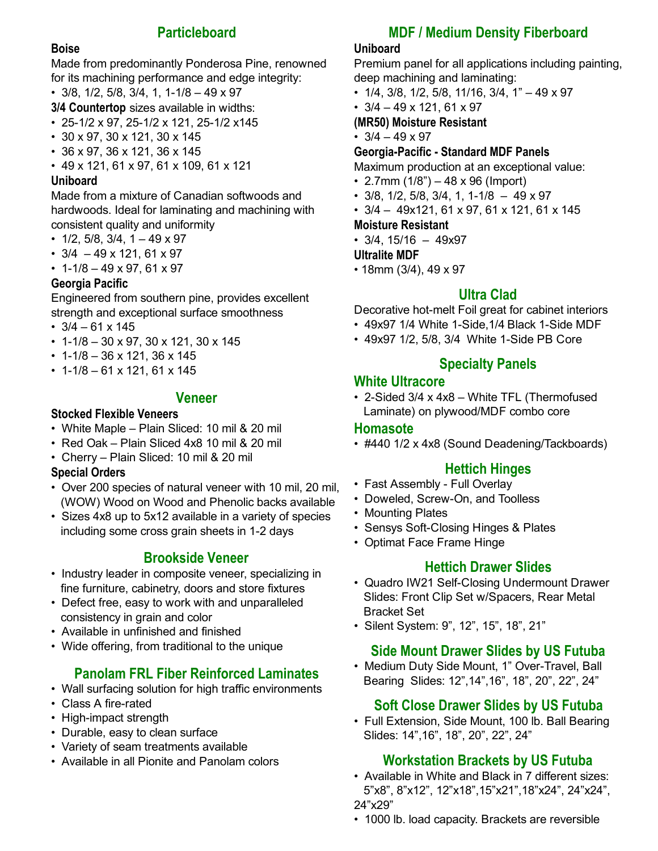### **Particleboard**

#### Boise

Made from predominantly Ponderosa Pine, renowned for its machining performance and edge integrity:

 $\cdot$  3/8, 1/2, 5/8, 3/4, 1, 1-1/8 - 49 x 97

3/4 Countertop sizes available in widths:

- 25-1/2 x 97, 25-1/2 x 121, 25-1/2 x145
- 30 x 97, 30 x 121, 30 x 145
- 36 x 97, 36 x 121, 36 x 145
- 49 x 121, 61 x 97, 61 x 109, 61 x 121

#### Uniboard

Made from a mixture of Canadian softwoods and hardwoods. Ideal for laminating and machining with consistent quality and uniformity

- $1/2$ ,  $5/8$ ,  $3/4$ ,  $1 49 \times 97$
- $\cdot$  3/4 49 x 121, 61 x 97
- $\cdot$  1-1/8 49 x 97, 61 x 97

#### Georgia Pacific

Engineered from southern pine, provides excellent strength and exceptional surface smoothness

- $3/4 61 \times 145$
- 1-1/8 30 x 97, 30 x 121, 30 x 145
- 1-1/8 36 x 121, 36 x 145
- 1-1/8 61 x 121, 61 x 145

#### Veneer

#### Stocked Flexible Veneers

- White Maple Plain Sliced: 10 mil & 20 mil
- Red Oak Plain Sliced 4x8 10 mil & 20 mil
- Cherry Plain Sliced: 10 mil & 20 mil

#### Special Orders

- Over 200 species of natural veneer with 10 mil, 20 mil, (WOW) Wood on Wood and Phenolic backs available
- Sizes 4x8 up to 5x12 available in a variety of species including some cross grain sheets in 1-2 days

### Brookside Veneer

- Industry leader in composite veneer, specializing in fine furniture, cabinetry, doors and store fixtures
- Defect free, easy to work with and unparalleled consistency in grain and color
- Available in unfinished and finished
- Wide offering, from traditional to the unique

### Panolam FRL Fiber Reinforced Laminates

- Wall surfacing solution for high traffic environments
- Class A fire-rated
- High-impact strength
- Durable, easy to clean surface
- Variety of seam treatments available
- Available in all Pionite and Panolam colors

### MDF / Medium Density Fiberboard

#### Uniboard

Premium panel for all applications including painting, deep machining and laminating:

- $1/4$ ,  $3/8$ ,  $1/2$ ,  $5/8$ ,  $11/16$ ,  $3/4$ ,  $1" 49 \times 97$
- $\cdot$  3/4 49 x 121, 61 x 97
- (MR50) Moisture Resistant
- $3/4 49 \times 97$

#### Georgia-Pacific - Standard MDF Panels

Maximum production at an exceptional value:

- 2.7mm  $(1/8) 48 \times 96$  (Import)
- $\cdot$  3/8, 1/2, 5/8, 3/4, 1, 1-1/8 49 x 97
- $\cdot$  3/4 49x121, 61 x 97, 61 x 121, 61 x 145

#### Moisture Resistant

•  $3/4$ ,  $15/16 - 49x97$ 

#### Ultralite MDF

• 18mm (3/4), 49 x 97

#### Ultra Clad

Decorative hot-melt Foil great for cabinet interiors

- 49x97 1/4 White 1-Side, 1/4 Black 1-Side MDF
- 49x97 1/2, 5/8, 3/4 White 1-Side PB Core

#### Specialty Panels

#### White Ultracore

 $\cdot$  2-Sided 3/4 x 4x8 – White TFL (Thermofused Laminate) on plywood/MDF combo core

#### Homasote

• #440 1/2 x 4x8 (Sound Deadening/Tackboards)

### Hettich Hinges

- Fast Assembly Full Overlay
- Doweled, Screw-On, and Toolless
- Mounting Plates
- Sensys Soft-Closing Hinges & Plates
- Optimat Face Frame Hinge

#### Hettich Drawer Slides

- Quadro IW21 Self-Closing Undermount Drawer Slides: Front Clip Set w/Spacers, Rear Metal Bracket Set
- Silent System: 9", 12", 15", 18", 21"

### Side Mount Drawer Slides by US Futuba

• Medium Duty Side Mount, 1" Over-Travel, Ball Bearing Slides: 12",14",16", 18", 20", 22", 24"

### Soft Close Drawer Slides by US Futuba

• Full Extension, Side Mount, 100 lb. Ball Bearing Slides: 14",16", 18", 20", 22", 24"

#### Workstation Brackets by US Futuba

- Available in White and Black in 7 different sizes: 5"x8", 8"x12", 12"x18",15"x21",18"x24", 24"x24", 24"x29"
- 1000 lb. load capacity. Brackets are reversible